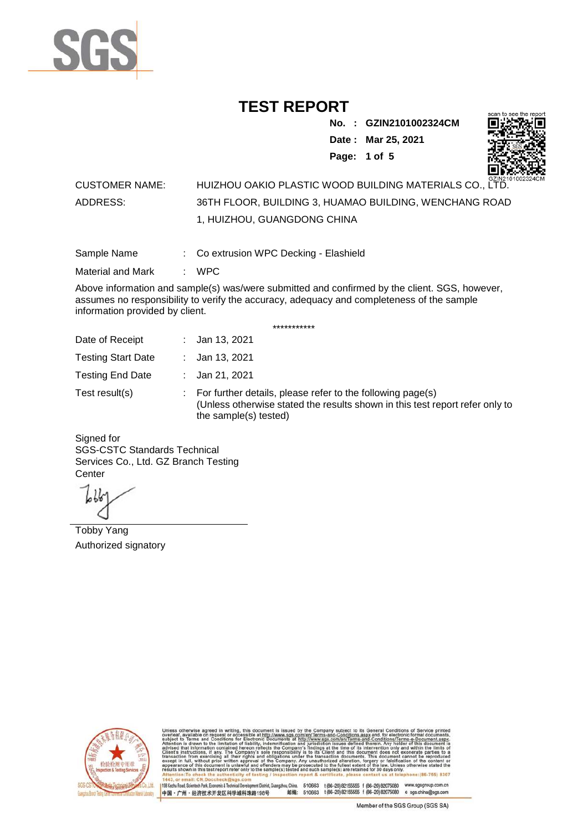

**No. : GZIN2101002324CM Date : Mar 25, 2021**



**Page: 1 of 5**  CUSTOMER NAME: HUIZHOU OAKIO PLASTIC WOOD BUILDING MATERIALS CO., LTD. ADDRESS: 36TH FLOOR, BUILDING 3, HUAMAO BUILDING, WENCHANG ROAD

1, HUIZHOU, GUANGDONG CHINA

Sample Name : Co extrusion WPC Decking - Elashield

Material and Mark : WPC

Above information and sample(s) was/were submitted and confirmed by the client. SGS, however, assumes no responsibility to verify the accuracy, adequacy and completeness of the sample information provided by client.

\*\*\*\*\*\*\*\*\*\*\*

| Date of Receipt           | : Jan 13, 2021                                                                                                                                                        |
|---------------------------|-----------------------------------------------------------------------------------------------------------------------------------------------------------------------|
| <b>Testing Start Date</b> | : Jan 13, 2021                                                                                                                                                        |
| <b>Testing End Date</b>   | : Jan 21, 2021                                                                                                                                                        |
| Test result(s)            | : For further details, please refer to the following page(s)<br>(Unless otherwise stated the results shown in this test report refer only to<br>the sample(s) tested) |

Signed for SGS-CSTC Standards Technical Services Co., Ltd. GZ Branch Testing **Center** 

Tobby Yang Authorized signatory



510663 t(86-20) 82155555 f (86-20) 82075080 www.sgsgroup.com.cn<br>510663 t(86-20) 82155555 f (86-20) 82075080 e sgs.china@sgs.com 198 Kezhu Road, Scientech Park, Eco nomic & Technical Devel tou, China. ant District C 邮编: 中国·广州·经济技术开发区科学城科珠路198号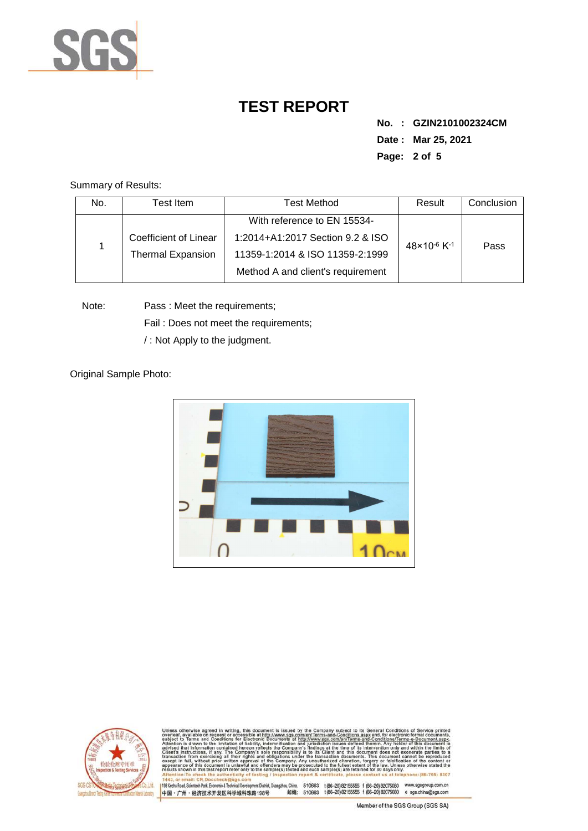

**No. : GZIN2101002324CM Date : Mar 25, 2021 Page: 2 of 5** 

Summary of Results:

| No. | Гest Item.            | <b>Test Method</b>                | Result                              | Conclusion |
|-----|-----------------------|-----------------------------------|-------------------------------------|------------|
|     |                       | With reference to EN 15534-       |                                     |            |
|     | Coefficient of Linear | 1:2014+A1:2017 Section 9.2 & ISO  | $48 \times 10^{-6}$ K <sup>-1</sup> | Pass       |
|     | Thermal Expansion     | 11359-1:2014 & ISO 11359-2:1999   |                                     |            |
|     |                       | Method A and client's requirement |                                     |            |

Note: Pass : Meet the requirements;

Fail : Does not meet the requirements;

/ : Not Apply to the judgment.

Original Sample Photo:





Conditions/Terms-e-Dor<br>rein. Any holder of this 8307 nentDistrict,Guangzhou,China. 510663 t (86–20) 82155555 f (86–20) 82075080 www.sgsgroup.com.cn<br>格198号 邮编: 510663 t (86–20) 82155555 f (86–20) 82075080 e sgs.china@sgs.com 198 Kezhu Road, Scientech Park, Economic & Technical Develo 中国·广州·经济技术开发区科学城科珠路198号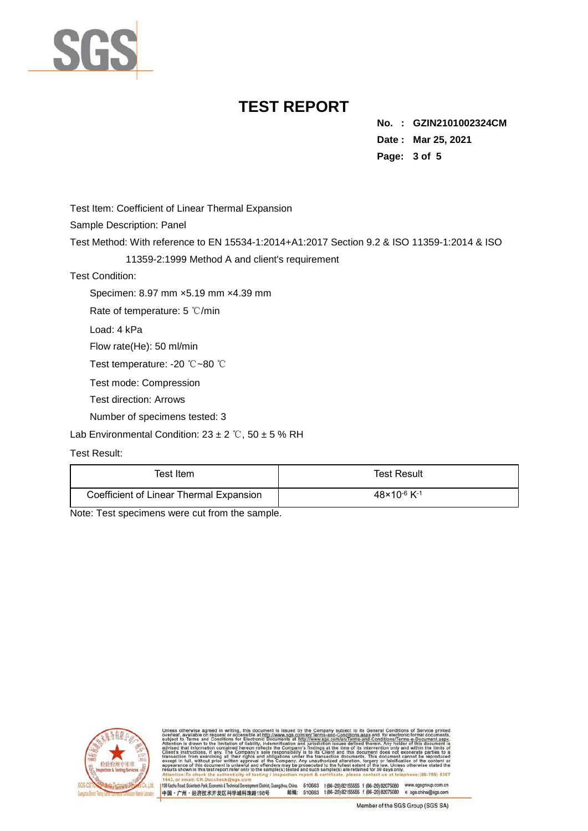

**No. : GZIN2101002324CM Date : Mar 25, 2021 Page: 3 of 5** 

Test Item: Coefficient of Linear Thermal Expansion

Sample Description: Panel

Test Method: With reference to EN 15534-1:2014+A1:2017 Section 9.2 & ISO 11359-1:2014 & ISO

#### 11359-2:1999 Method A and client's requirement

Test Condition:

Specimen: 8.97 mm ×5.19 mm ×4.39 mm

Rate of temperature: 5 ℃/min

Load: 4 kPa

Flow rate(He): 50 ml/min

Test temperature: -20 ℃~80 ℃

Test mode: Compression

Test direction: Arrows

Number of specimens tested: 3

Lab Environmental Condition:  $23 \pm 2$  °C,  $50 \pm 5$  % RH

#### Test Result:

| Test Item                               | <b>Test Result</b>                  |
|-----------------------------------------|-------------------------------------|
| Coefficient of Linear Thermal Expansion | $48 \times 10^{-6}$ K <sup>-1</sup> |

Note: Test specimens were cut from the sample.



nentDistrict,Guangzhou,China. 510663 t(86–20) 82155555 f (86–20) 82075080 www.sgsgroup.com.cn<br>格198号 - 邮编: 510663 t(86–20) 82155555 f (86–20) 82075080 e sgs.china@sgs.com 198 Kezhu Road, Scientech Park, Economic & Technical Develo 中国·广州·经济技术开发区科学城科珠路198号

Member of the SGS Group (SGS SA)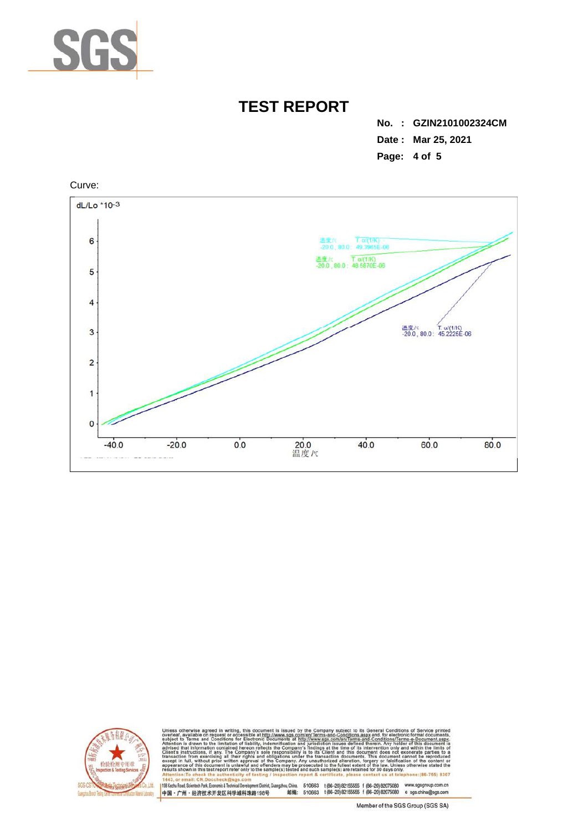

**No. : GZIN2101002324CM Date : Mar 25, 2021 Page: 4 of 5** 





Conditions/Terms-e-Dor<br>rein. Any holder of this only